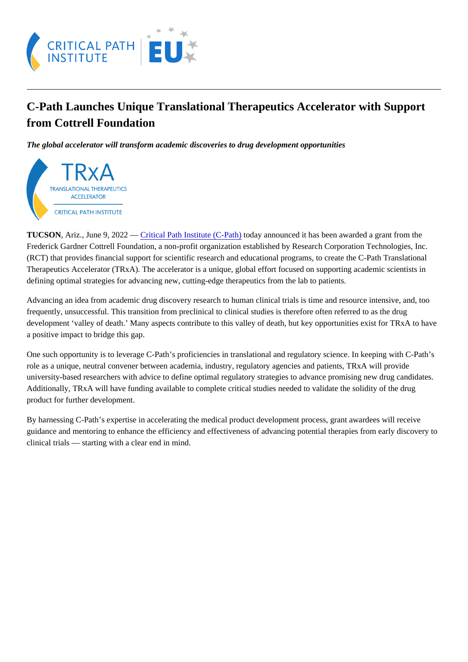## C-Path Launches Unique Translational Therapeutics Accelerator with Support from Cottrell Foundation

The global accelerator will transform academic discoveries to drug development opportunities

TUCSON, Ariz., June 9, 2022 – Gritical Path Institute (C-Pathoday announced it has been awarded a grant from the Frederick Gardner Cottrell Foundation, a non-profit organization established by Research Corporation Technologies, Inc. (RCT) that provides financial support for scientific research and educational programs, to create the C-Path Translational Therapeutics Accelerator (TRxA). The accelerator is a unique, global effort focused on supporting academic scientists in defining optimal strategies for advancing new, cutting-edge therapeutics from the lab to patients.

Advancing an idea from academic drug discovery research to human clinical trials is time and resource intensive, and, to frequently, unsuccessful. This transition from preclinical to clinical studies is therefore often referred to as the drug development 'valley of death.' Many aspects contribute to this valley of death, but key opportunities exist for TRxA to hav a positive impact to bridge this gap.

One such opportunity is to leverage C-Path's proficiencies in translational and regulatory science. In keeping with C-Path's role as a unique, neutral convener between academia, industry, regulatory agencies and patients, TRxA will provide university-based researchers with advice to define optimal regulatory strategies to advance promising new drug candidate Additionally, TRxA will have funding available to complete critical studies needed to validate the solidity of the drug product for further development.

By harnessing C-Path's expertise in accelerating the medical product development process, grant awardees will receive guidance and mentoring to enhance the efficiency and effectiveness of advancing potential therapies from early discover clinical trials — starting with a clear end in mind.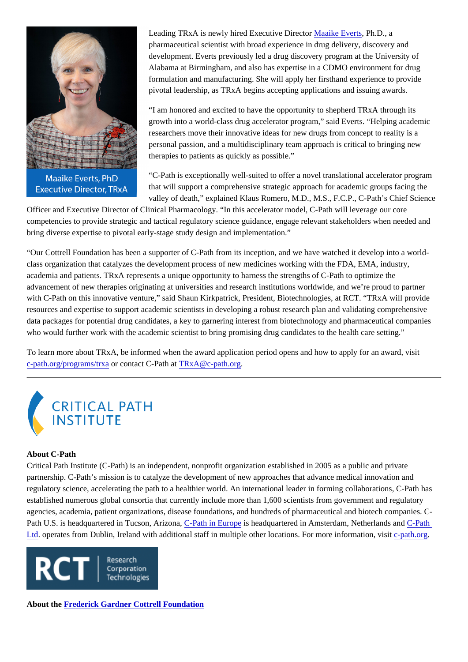Leading TRxA is newly hired Executive Directolaaike EvertsPh.D., a pharmaceutical scientist with broad experience in drug delivery, discovery and development. Everts previously led a drug discovery program at the University of Alabama at Birmingham, and also has expertise in a CDMO environment for drug formulation and manufacturing. She will apply her firsthand experience to provide pivotal leadership, as TRxA begins accepting applications and issuing awards.

"I am honored and excited to have the opportunity to shepherd TRxA through its growth into a world-class drug accelerator program," said Everts. "Helping academic researchers move their innovative ideas for new drugs from concept to reality is a personal passion, and a multidisciplinary team approach is critical to bringing new therapies to patients as quickly as possible."

"C-Path is exceptionally well-suited to offer a novel translational accelerator program that will support a comprehensive strategic approach for academic groups facing the valley of death," explained Klaus Romero, M.D., M.S., F.C.P., C-Path's Chief Science

Officer and Executive Director of Clinical Pharmacology. "In this accelerator model, C-Path will leverage our core competencies to provide strategic and tactical regulatory science guidance, engage relevant stakeholders when needed and bring diverse expertise to pivotal early-stage study design and implementation."

"Our Cottrell Foundation has been a supporter of C-Path from its inception, and we have watched it develop into a worldclass organization that catalyzes the development process of new medicines working with the FDA, EMA, industry, academia and patients. TRxA represents a unique opportunity to harness the strengths of C-Path to optimize the advancement of new therapies originating at universities and research institutions worldwide, and we're proud to partner with C-Path on this innovative venture," said Shaun Kirkpatrick, President, Biotechnologies, at RCT. "TRxA will provide resources and expertise to support academic scientists in developing a robust research plan and validating comprehensiv data packages for potential drug candidates, a key to garnering interest from biotechnology and pharmaceutical compani who would further work with the academic scientist to bring promising drug candidates to the health care setting."

To learn more about TRxA, be informed when the award application period opens and how to apply for an award, visit [c-path.org/programs/trx](https://c-path.org/programs/trxa)acontact C-Path  $\frac{\partial \text{dR}}{\partial x}$ c-path.org.

## About C-Path

Critical Path Institute (C-Path) is an independent, nonprofit organization established in 2005 as a public and private partnership. C-Path's mission is to catalyze the development of new approaches that advance medical innovation and regulatory science, accelerating the path to a healthier world. An international leader in forming collaborations, C-Path has established numerous global consortia that currently include more than 1,600 scientists from government and regulatory agencies, academia, patient organizations, disease foundations, and hundreds of pharmaceutical and biotech companies Path U.S. is headquartered in Tucson, Arizon Path in Europis headquartered in Amsterdam, Netherlands Candath [Ltd.](https://c-path.eu/) operates from Dublin, Ireland with additional staff in multiple other locations. For more information, past torg